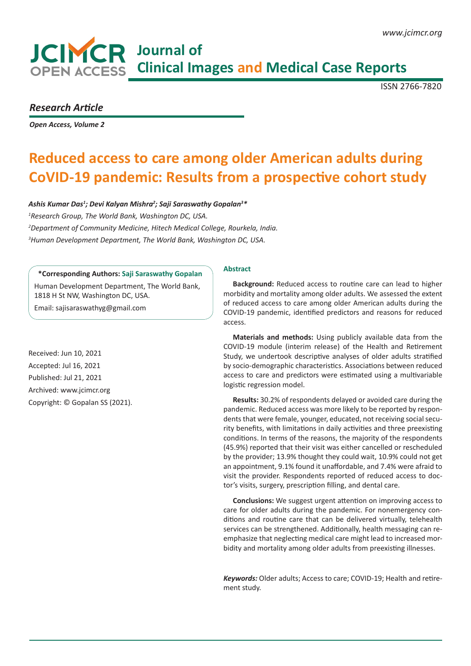# **JCIMCR** Journal of **COPEN ACCESS Clinical Images and Medical Case Reports**

ISSN 2766-7820

### *Research Article*

*Open Access, Volume 2* 

## **Reduced access to care among older American adults during CoVID-19 pandemic: Results from a prospective cohort study**

*Ashis Kumar Das1 ; Devi Kalyan Mishra2 ; Saji Saraswathy Gopalan3 \* Research Group, The World Bank, Washington DC, USA. Department of Community Medicine, Hitech Medical College, Rourkela, India. Human Development Department, The World Bank, Washington DC, USA.*

#### **\*Corresponding Authors: Saji Saraswathy Gopalan**

Human Development Department, The World Bank, 1818 H St NW, Washington DC, USA.

Email: sajisaraswathyg@gmail.com

Received: Jun 10, 2021 Accepted: Jul 16, 2021 Published: Jul 21, 2021 Archived: www.jcimcr.org Copyright: © Gopalan SS (2021).

#### **Abstract**

**Background:** Reduced access to routine care can lead to higher morbidity and mortality among older adults. We assessed the extent of reduced access to care among older American adults during the COVID-19 pandemic, identified predictors and reasons for reduced access.

**Materials and methods:** Using publicly available data from the COVID-19 module (interim release) of the Health and Retirement Study, we undertook descriptive analyses of older adults stratified by socio-demographic characteristics. Associations between reduced access to care and predictors were estimated using a multivariable logistic regression model.

**Results:** 30.2% of respondents delayed or avoided care during the pandemic. Reduced access was more likely to be reported by respondents that were female, younger, educated, not receiving social security benefits, with limitations in daily activities and three preexisting conditions. In terms of the reasons, the majority of the respondents (45.9%) reported that their visit was either cancelled or rescheduled by the provider; 13.9% thought they could wait, 10.9% could not get an appointment, 9.1% found it unaffordable, and 7.4% were afraid to visit the provider. Respondents reported of reduced access to doctor's visits, surgery, prescription filling, and dental care.

**Conclusions:** We suggest urgent attention on improving access to care for older adults during the pandemic. For nonemergency conditions and routine care that can be delivered virtually, telehealth services can be strengthened. Additionally, health messaging can reemphasize that neglecting medical care might lead to increased morbidity and mortality among older adults from preexisting illnesses.

*Keywords:* Older adults; Access to care; COVID-19; Health and retirement study.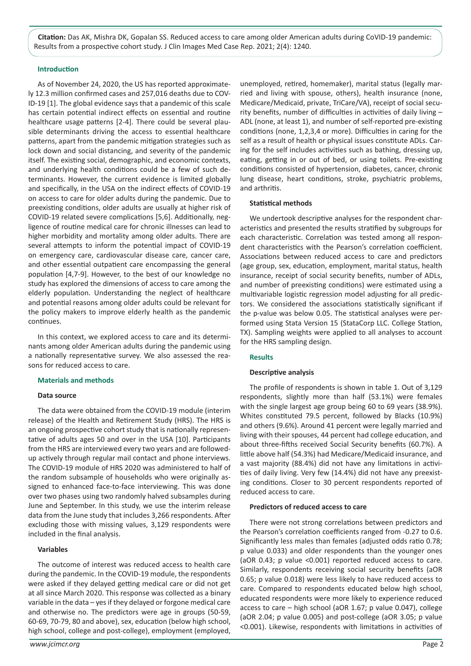**Citation:** Das AK, Mishra DK, Gopalan SS. Reduced access to care among older American adults during CoVID-19 pandemic: Results from a prospective cohort study. J Clin Images Med Case Rep. 2021; 2(4): 1240.

#### **Introduction**

As of November 24, 2020, the US has reported approximately 12.3 million confirmed cases and 257,016 deaths due to COV-ID-19 [1]. The global evidence says that a pandemic of this scale has certain potential indirect effects on essential and routine healthcare usage patterns [2-4]. There could be several plausible determinants driving the access to essential healthcare patterns, apart from the pandemic mitigation strategies such as lock down and social distancing, and severity of the pandemic itself. The existing social, demographic, and economic contexts, and underlying health conditions could be a few of such determinants. However, the current evidence is limited globally and specifically, in the USA on the indirect effects of COVID-19 on access to care for older adults during the pandemic. Due to preexisting conditions, older adults are usually at higher risk of COVID-19 related severe complications [5,6]. Additionally, negligence of routine medical care for chronic illnesses can lead to higher morbidity and mortality among older adults. There are several attempts to inform the potential impact of COVID-19 on emergency care, cardiovascular disease care, cancer care, and other essential outpatient care encompassing the general population [4,7-9]. However, to the best of our knowledge no study has explored the dimensions of access to care among the elderly population. Understanding the neglect of healthcare and potential reasons among older adults could be relevant for the policy makers to improve elderly health as the pandemic continues.

In this context, we explored access to care and its determinants among older American adults during the pandemic using a nationally representative survey. We also assessed the reasons for reduced access to care.

#### **Materials and methods**

#### **Data source**

The data were obtained from the COVID-19 module (interim release) of the Health and Retirement Study (HRS). The HRS is an ongoing prospective cohort study that is nationally representative of adults ages 50 and over in the USA [10]. Participants from the HRS are interviewed every two years and are followedup actively through regular mail contact and phone interviews. The COVID-19 module of HRS 2020 was administered to half of the random subsample of households who were originally assigned to enhanced face-to-face interviewing. This was done over two phases using two randomly halved subsamples during June and September. In this study, we use the interim release data from the June study that includes 3,266 respondents. After excluding those with missing values, 3,129 respondents were included in the final analysis.

#### **Variables**

The outcome of interest was reduced access to health care during the pandemic. In the COVID-19 module, the respondents were asked if they delayed getting medical care or did not get at all since March 2020. This response was collected as a binary variable in the data – yes if they delayed or forgone medical care and otherwise no. The predictors were age in groups (50-59, 60-69, 70-79, 80 and above), sex, education (below high school, high school, college and post-college), employment (employed,

unemployed, retired, homemaker), marital status (legally married and living with spouse, others), health insurance (none, Medicare/Medicaid, private, TriCare/VA), receipt of social security benefits, number of difficulties in activities of daily living – ADL (none, at least 1), and number of self-reported pre-existing conditions (none, 1,2,3,4 or more). Difficulties in caring for the self as a result of health or physical issues constitute ADLs. Caring for the self includes activities such as bathing, dressing up, eating, getting in or out of bed, or using toilets. Pre-existing conditions consisted of hypertension, diabetes, cancer, chronic lung disease, heart conditions, stroke, psychiatric problems, and arthritis.

#### **Statistical methods**

We undertook descriptive analyses for the respondent characteristics and presented the results stratified by subgroups for each characteristic. Correlation was tested among all respondent characteristics with the Pearson's correlation coefficient. Associations between reduced access to care and predictors (age group, sex, education, employment, marital status, health insurance, receipt of social security benefits, number of ADLs, and number of preexisting conditions) were estimated using a multivariable logistic regression model adjusting for all predictors. We considered the associations statistically significant if the p-value was below 0.05. The statistical analyses were performed using Stata Version 15 (StataCorp LLC. College Station, TX). Sampling weights were applied to all analyses to account for the HRS sampling design.

#### **Results**

#### **Descriptive analysis**

The profile of respondents is shown in table 1. Out of 3,129 respondents, slightly more than half (53.1%) were females with the single largest age group being 60 to 69 years (38.9%). Whites constituted 79.5 percent, followed by Blacks (10.9%) and others (9.6%). Around 41 percent were legally married and living with their spouses, 44 percent had college education, and about three-fifths received Social Security benefits (60.7%). A little above half (54.3%) had Medicare/Medicaid insurance, and a vast majority (88.4%) did not have any limitations in activities of daily living. Very few (14.4%) did not have any preexisting conditions. Closer to 30 percent respondents reported of reduced access to care.

#### **Predictors of reduced access to care**

There were not strong correlations between predictors and the Pearson's correlation coefficients ranged from -0.27 to 0.6. Significantly less males than females (adjusted odds ratio 0.78; p value 0.033) and older respondents than the younger ones (aOR 0.43; p value <0.001) reported reduced access to care. Similarly, respondents receiving social security benefits (aOR 0.65; p value 0.018) were less likely to have reduced access to care. Compared to respondents educated below high school, educated respondents were more likely to experience reduced access to care – high school (aOR 1.67; p value 0.047), college (aOR 2.04; p value 0.005) and post-college (aOR 3.05; p value <0.001). Likewise, respondents with limitations in activities of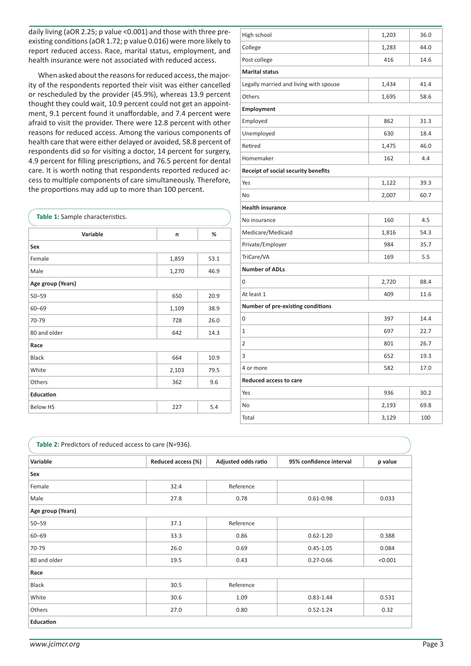daily living (aOR 2.25; p value <0.001) and those with three preexisting conditions (aOR 1.72; p value 0.016) were more likely to report reduced access. Race, marital status, employment, and health insurance were not associated with reduced access.

When asked about the reasons for reduced access, the majority of the respondents reported their visit was either cancelled or rescheduled by the provider (45.9%), whereas 13.9 percent thought they could wait, 10.9 percent could not get an appointment, 9.1 percent found it unaffordable, and 7.4 percent were afraid to visit the provider. There were 12.8 percent with other reasons for reduced access. Among the various components of health care that were either delayed or avoided, 58.8 percent of respondents did so for visiting a doctor, 14 percent for surgery, 4.9 percent for filling prescriptions, and 76.5 percent for dental care. It is worth noting that respondents reported reduced access to multiple components of care simultaneously. Therefore, the proportions may add up to more than 100 percent.

| Table 1: Sample characteristics. |       |      |  |  |  |
|----------------------------------|-------|------|--|--|--|
| Variable                         | n     | %    |  |  |  |
| Sex                              |       |      |  |  |  |
| Female                           | 1,859 | 53.1 |  |  |  |
| Male                             | 1,270 | 46.9 |  |  |  |
| Age group (Years)                |       |      |  |  |  |
| $50 - 59$                        | 650   | 20.9 |  |  |  |
| $60 - 69$                        | 1,109 | 38.9 |  |  |  |
| 70-79                            | 728   | 26.0 |  |  |  |
| 80 and older                     | 642   | 14.3 |  |  |  |
| Race                             |       |      |  |  |  |
| <b>Black</b>                     | 664   | 10.9 |  |  |  |
| White                            | 2,103 | 79.5 |  |  |  |
| Others                           | 362   | 9.6  |  |  |  |
| Education                        |       |      |  |  |  |
| <b>Below HS</b>                  | 227   | 5.4  |  |  |  |

| High school                            | 1,203 | 36.0 |  |  |  |  |
|----------------------------------------|-------|------|--|--|--|--|
| College                                | 1,283 | 44.0 |  |  |  |  |
| Post college                           | 416   | 14.6 |  |  |  |  |
| <b>Marital status</b>                  |       |      |  |  |  |  |
| Legally married and living with spouse | 1,434 | 41.4 |  |  |  |  |
| Others                                 | 1,695 | 58.6 |  |  |  |  |
| Employment                             |       |      |  |  |  |  |
| Employed                               | 862   | 31.3 |  |  |  |  |
| Unemployed                             | 630   | 18.4 |  |  |  |  |
| Retired                                | 1,475 | 46.0 |  |  |  |  |
| Homemaker                              | 162   | 4.4  |  |  |  |  |
| Receipt of social security benefits    |       |      |  |  |  |  |
| Yes                                    | 1,122 | 39.3 |  |  |  |  |
| No                                     | 2,007 | 60.7 |  |  |  |  |
| <b>Health insurance</b>                |       |      |  |  |  |  |
| No insurance                           | 160   | 4.5  |  |  |  |  |
| Medicare/Medicaid                      | 1,816 | 54.3 |  |  |  |  |
| Private/Employer                       | 984   | 35.7 |  |  |  |  |
| TriCare/VA                             | 169   | 5.5  |  |  |  |  |
| <b>Number of ADLs</b>                  |       |      |  |  |  |  |
| 0                                      | 2,720 | 88.4 |  |  |  |  |
| At least 1                             | 409   | 11.6 |  |  |  |  |
| Number of pre-existing conditions      |       |      |  |  |  |  |
| 0                                      | 397   | 14.4 |  |  |  |  |
| $\mathbf{1}$                           | 697   | 22.7 |  |  |  |  |
| $\overline{2}$                         | 801   | 26.7 |  |  |  |  |
| 3                                      | 652   | 19.3 |  |  |  |  |
| 4 or more                              | 582   | 17.0 |  |  |  |  |
| Reduced access to care                 |       |      |  |  |  |  |
| Yes                                    | 936   | 30.2 |  |  |  |  |
| No                                     | 2,193 | 69.8 |  |  |  |  |
| Total                                  | 3,129 | 100  |  |  |  |  |

| Table 2: Predictors of reduced access to care (N=936). |                    |                     |                         |         |  |  |
|--------------------------------------------------------|--------------------|---------------------|-------------------------|---------|--|--|
| Variable                                               | Reduced access (%) | Adjusted odds ratio | 95% confidence interval | p value |  |  |
| Sex                                                    |                    |                     |                         |         |  |  |
| Female                                                 | 32.4               | Reference           |                         |         |  |  |
| Male                                                   | 27.8               | 0.78                | $0.61 - 0.98$           | 0.033   |  |  |
| Age group (Years)                                      |                    |                     |                         |         |  |  |
| $50 - 59$                                              | 37.1               | Reference           |                         |         |  |  |
| $60 - 69$                                              | 33.3               | 0.86                | $0.62 - 1.20$           | 0.388   |  |  |
| 70-79                                                  | 26.0               | 0.69                | $0.45 - 1.05$           | 0.084   |  |  |
| 80 and older                                           | 19.5               | 0.43                | $0.27 - 0.66$           | < 0.001 |  |  |
| Race                                                   |                    |                     |                         |         |  |  |
| <b>Black</b>                                           | 30.5               | Reference           |                         |         |  |  |
| White                                                  | 30.6               | 1.09                | $0.83 - 1.44$           | 0.531   |  |  |
| Others                                                 | 27.0               | 0.80                | $0.52 - 1.24$           | 0.32    |  |  |
| Education                                              |                    |                     |                         |         |  |  |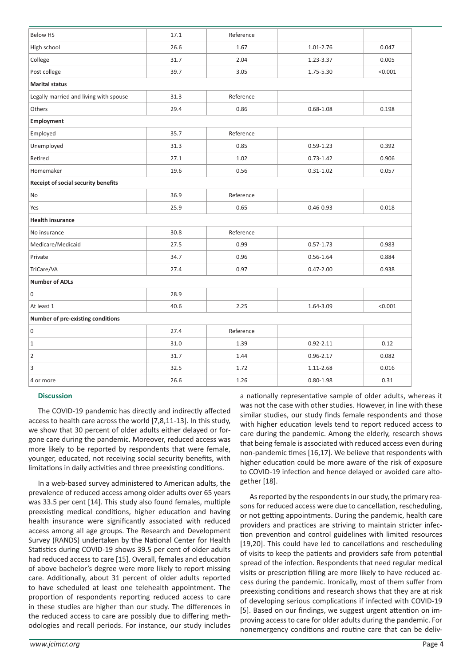| <b>Below HS</b>                        | 17.1 | Reference |               |         |  |  |
|----------------------------------------|------|-----------|---------------|---------|--|--|
| High school                            | 26.6 | 1.67      | 1.01-2.76     | 0.047   |  |  |
| College                                | 31.7 | 2.04      | 1.23-3.37     | 0.005   |  |  |
| Post college                           | 39.7 | 3.05      | 1.75-5.30     | < 0.001 |  |  |
| <b>Marital status</b>                  |      |           |               |         |  |  |
| Legally married and living with spouse | 31.3 | Reference |               |         |  |  |
| Others                                 | 29.4 | 0.86      | $0.68 - 1.08$ | 0.198   |  |  |
| Employment                             |      |           |               |         |  |  |
| Employed                               | 35.7 | Reference |               |         |  |  |
| Unemployed                             | 31.3 | 0.85      | $0.59 - 1.23$ | 0.392   |  |  |
| Retired                                | 27.1 | 1.02      | $0.73 - 1.42$ | 0.906   |  |  |
| Homemaker                              | 19.6 | 0.56      | $0.31 - 1.02$ | 0.057   |  |  |
| Receipt of social security benefits    |      |           |               |         |  |  |
| No                                     | 36.9 | Reference |               |         |  |  |
| Yes                                    | 25.9 | 0.65      | $0.46 - 0.93$ | 0.018   |  |  |
| <b>Health insurance</b>                |      |           |               |         |  |  |
| No insurance                           | 30.8 | Reference |               |         |  |  |
| Medicare/Medicaid                      | 27.5 | 0.99      | $0.57 - 1.73$ | 0.983   |  |  |
| Private                                | 34.7 | 0.96      | $0.56 - 1.64$ | 0.884   |  |  |
| TriCare/VA                             | 27.4 | 0.97      | $0.47 - 2.00$ | 0.938   |  |  |
| <b>Number of ADLs</b>                  |      |           |               |         |  |  |
| $\mathsf 0$                            | 28.9 |           |               |         |  |  |
| At least 1                             | 40.6 | 2.25      | 1.64-3.09     | < 0.001 |  |  |
| Number of pre-existing conditions      |      |           |               |         |  |  |
| $\mathsf{O}\xspace$                    | 27.4 | Reference |               |         |  |  |
| $\mathbf{1}$                           | 31.0 | 1.39      | $0.92 - 2.11$ | 0.12    |  |  |
| $\overline{2}$                         | 31.7 | 1.44      | $0.96 - 2.17$ | 0.082   |  |  |
| 3                                      | 32.5 | 1.72      | 1.11-2.68     | 0.016   |  |  |
| 4 or more                              | 26.6 | 1.26      | $0.80 - 1.98$ | 0.31    |  |  |

#### **Discussion**

The COVID-19 pandemic has directly and indirectly affected access to health care across the world [7,8,11-13]. In this study, we show that 30 percent of older adults either delayed or forgone care during the pandemic. Moreover, reduced access was more likely to be reported by respondents that were female, younger, educated, not receiving social security benefits, with limitations in daily activities and three preexisting conditions.

In a web-based survey administered to American adults, the prevalence of reduced access among older adults over 65 years was 33.5 per cent [14]. This study also found females, multiple preexisting medical conditions, higher education and having health insurance were significantly associated with reduced access among all age groups. The Research and Development Survey (RANDS) undertaken by the National Center for Health Statistics during COVID-19 shows 39.5 per cent of older adults had reduced access to care [15]. Overall, females and education of above bachelor's degree were more likely to report missing care. Additionally, about 31 percent of older adults reported to have scheduled at least one telehealth appointment. The proportion of respondents reporting reduced access to care in these studies are higher than our study. The differences in the reduced access to care are possibly due to differing methodologies and recall periods. For instance, our study includes

a nationally representative sample of older adults, whereas it was not the case with other studies. However, in line with these similar studies, our study finds female respondents and those with higher education levels tend to report reduced access to care during the pandemic. Among the elderly, research shows that being female is associated with reduced access even during non-pandemic times [16,17]. We believe that respondents with higher education could be more aware of the risk of exposure to COVID-19 infection and hence delayed or avoided care altogether [18].

As reported by the respondents in our study, the primary reasons for reduced access were due to cancellation, rescheduling, or not getting appointments. During the pandemic, health care providers and practices are striving to maintain stricter infection prevention and control guidelines with limited resources [19,20]. This could have led to cancellations and rescheduling of visits to keep the patients and providers safe from potential spread of the infection. Respondents that need regular medical visits or prescription filling are more likely to have reduced access during the pandemic. Ironically, most of them suffer from preexisting conditions and research shows that they are at risk of developing serious complications if infected with COVID-19 [5]. Based on our findings, we suggest urgent attention on improving access to care for older adults during the pandemic. For nonemergency conditions and routine care that can be deliv